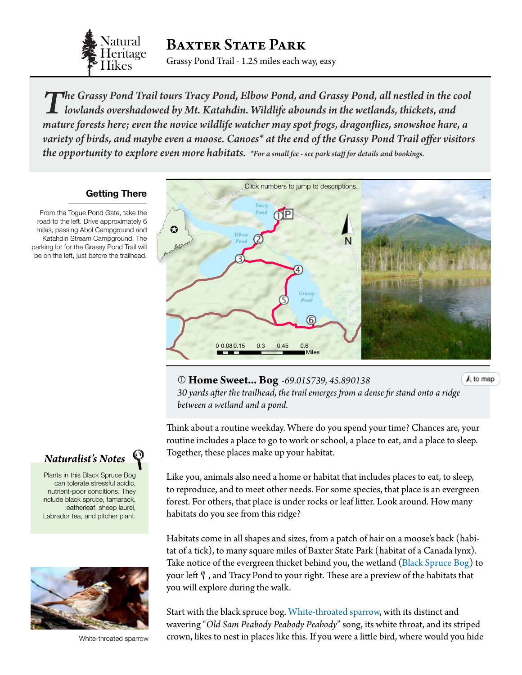

BAXTER STATE PARK

Grassy Pond Trail - 1.25 miles each way, easy

*The Grassy Pond Trail tours Tracy Pond, Elbow Pond, and Grassy Pond, all nestled in the cool lowlands overshadowed by Mt. Katahdin. Wildlife abounds in the wetlands, thickets, and mature forests here; even the novice wildlife watcher may spot frogs, dragonflies, snowshoe hare, a variety of birds, and maybe even a moose. Canoes\* at the end of the Grassy Pond Trail offer visitors the opportunity to explore even more habitats. \*For a small fee - see park staff for details and bookings.*

## **Getting There**

From the Togue Pond Gate, take the road to the left. Drive approximately 6 miles, passing Abol Campground and Katahdin Stream Campground. The parking lot for the Grassy Pond Trail will be on the left, just before the trailhead.

<span id="page-0-0"></span>

 **Home Sweet... Bog** *-69.015739, 45.890138 30 yards after the trailhead, the trail emerges from a dense fir stand onto a r[idge](#page-0-0)  between a wetland and a pond.*

A to map

Think about a routine weekday. Where do you spend your time? Chances are, your routine includes a place to go to work or school, a place to eat, and a place to sleep. Together, these places make up your habitat.

Like you, animals also need a home or habitat that includes places to eat, to sleep, to reproduce, and to meet other needs. For some species, that place is an evergreen forest. For others, that place is under rocks or leaf litter. Look around. How many habitats do you see from this ridge?

Habitats come in all shapes and sizes, from a patch of hair on a moose's back (habitat of a tick), to many square miles of Baxter State Park (habitat of a Canada lynx). Take notice of the evergreen thicket behind you, the wetland [\(Black Spruce Bog](http://www.maine.gov/dacf/mnap/features/communities/blacksprucebog.htm)) to your left  $\mathcal{P}$  , and Tracy Pond to your right. These are a preview of the habitats that you will explore during the walk.

Start with the black spruce bog. [White-throated sparrow](http://www.allaboutbirds.org/guide/White-throated_Sparrow/id), with its distinct and wavering "*Old Sam Peabody Peabody Peabody*" song, its white throat, and its striped crown, likes to nest in places like this. If you were a little bird, where would you hide



Plants in this Black Spruce Bog can tolerate stressful acidic, nutrient-poor conditions. They include black spruce, tamarack, leatherleaf, sheep laurel, Labrador tea, and pitcher plant.



White-throated sparrow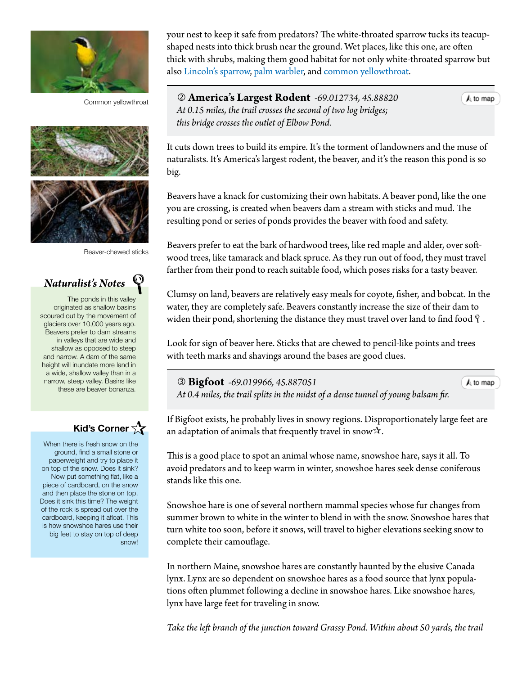

Common yellowthroat





Beaver-chewed sticks



The ponds in this valley originated as shallow basins scoured out by the movement of glaciers over 10,000 years ago. Beavers prefer to dam streams in valleys that are wide and shallow as opposed to steep and narrow. A dam of the same height will inundate more land in a wide, shallow valley than in a narrow, steep valley. Basins like these are beaver bonanza.

## **Kid's Corner**

When there is fresh snow on the ground, find a small stone or paperweight and try to place it on top of the snow. Does it sink? Now put something flat, like a piece of cardboard, on the snow and then place the stone on top. Does it sink this time? The weight of the rock is spread out over the cardboard, keeping it afloat. This is how snowshoe hares use their big feet to stay on top of deep snow! your nest to keep it safe from predators? The white-throated sparrow tucks its teacupshaped nests into thick brush near the ground. Wet places, like this one, are often thick with shrubs, making them good habitat for not only white-throated sparrow but also [Lincoln's sparrow](http://www.allaboutbirds.org/guide/Lincolns_Sparrow/id), [palm warbler](http://www.allaboutbirds.org/guide/Palm_Warbler/id), and [common yellowthroat.](http://www.allaboutbirds.org/guide/Common_Yellowthroat/id)

 **America's Largest Rodent** *-69.012734, 45.88820 At 0.15 miles, the trail crosses the second of two log bridges; this bridge crosses the outlet of Elbow Pond.*

 $A$  to map

 $A$  to map

It cuts down trees to build its empire. It's the torment of landowners and the muse of naturalists. It's America's largest rodent, the beaver, and it's the reason this pond is so big.

Beavers have a knack for customizing their own habitats. A beaver pond, like the one you are crossing, is created when beavers dam a stream with sticks and mud. The resulting pond or series of ponds provides the beaver with food and safety.

Beavers prefer to eat the bark of hardwood trees, like red maple and alder, over softwood trees, like tamarack and black spruce. As they run out of food, they must travel farther from their pond to reach suitable food, which poses risks for a tasty beaver.

Clumsy on land, beavers are relatively easy meals for coyote, fisher, and bobcat. In the water, they are completely safe. Beavers constantly increase the size of their dam to widen their pond, shortening the distance they must travel over land to find food  $\mathcal{P}$ .

Look for sign of beaver here. Sticks that are chewed to pencil-like points and trees with teeth marks and shavings around the bases are good clues.

 **Bigfoot** *-69.019966, 45.887051 At 0.4 miles, the trail splits in the midst of a dense tunnel of young balsam fi[r.](#page-0-0)*

If Bigfoot exists, he probably lives in snowy regions. Disproportionately large feet are an adaptation of animals that frequently travel in snow  $\lambda$ .

This is a good place to spot an animal whose name, snowshoe hare, says it all. To avoid predators and to keep warm in winter, snowshoe hares seek dense coniferous stands like this one.

Snowshoe hare is one of several northern mammal species whose fur changes from summer brown to white in the winter to blend in with the snow. Snowshoe hares that turn white too soon, before it snows, will travel to higher elevations seeking snow to complete their camouflage.

In northern Maine, snowshoe hares are constantly haunted by the elusive Canada lynx. Lynx are so dependent on snowshoe hares as a food source that lynx populations often plummet following a decline in snowshoe hares. Like snowshoe hares, lynx have large feet for traveling in snow.

*Take the left branch of the junction toward Grassy Pond. Within about 50 yards, the trail*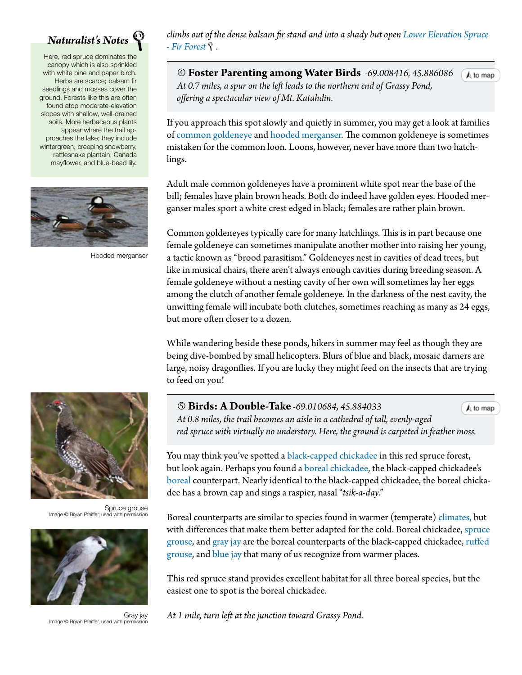

Here, red spruce dominates the canopy which is also sprinkled with white pine and paper birch. Herbs are scarce; balsam fir seedlings and mosses cover the ground. Forests like this are often found atop moderate-elevation slopes with shallow, well-drained soils. More herbaceous plants appear where the trail approaches the lake; they include wintergreen, creeping snowberry, rattlesnake plantain, Canada mayflower, and blue-bead lily.



Hooded merganser

*climbs out of the dense balsam fir stand and into a shady but open [Lower Elevation Spruce](http://www.maine.gov/dacf/mnap/features/communities/lowelevationspruce.htm)  [- Fir Forest](http://www.maine.gov/dacf/mnap/features/communities/lowelevationspruce.htm).*

 **Foster Parenting among Water Birds** *-69.008416, 45.8860[86](#page-0-0)* A to map  *At 0.7 miles, a spur on the left leads to the northern end of Grassy Pond, offering a spectacular view of Mt. Katahdin.*

If you approach this spot slowly and quietly in summer, you may get a look at families of c[ommon goldeneye](http://www.allaboutbirds.org/guide/Common_Goldeneye/id) and [hooded merganser](http://www.allaboutbirds.org/guide/Hooded_Merganser/id). The common goldeneye is sometimes mistaken for the common loon. Loons, however, never have more than two hatchlings.

Adult male common goldeneyes have a prominent white spot near the base of the bill; females have plain brown heads. Both do indeed have golden eyes. Hooded merganser males sport a white crest edged in black; females are rather plain brown.

Common goldeneyes typically care for many hatchlings. This is in part because one female goldeneye can sometimes manipulate another mother into raising her young, a tactic known as "brood parasitism." Goldeneyes nest in cavities of dead trees, but like in musical chairs, there aren't always enough cavities during breeding season. A female goldeneye without a nesting cavity of her own will sometimes lay her eggs among the clutch of another female goldeneye. In the darkness of the nest cavity, the unwitting female will incubate both clutches, sometimes reaching as many as 24 eggs, but more often closer to a dozen.

While wandering beside these ponds, hikers in summer may feel as though they are being dive-bombed by small helicopters. Blurs of blue and black, mosaic darners are large, noisy dragonflies. If you are lucky they might feed on the insects that are trying to feed on you!

 **Birds: A Double-Take** *-69.010684, 45.884033* A to map  *At 0.8 miles, the trail becomes an aisle in a cathedral of tall, evenly-aged red spruce with virtually no understory. Here, the ground is carpeted in feather moss.*

You may think you've spotted a [black-capped chickadee](http://www.allaboutbirds.org/guide/Black-capped_Chickadee/id) in this red spruce forest, but look again. Perhaps you found a b[oreal chickadee,](http://www.allaboutbirds.org/guide/Boreal_Chickadee/id) the black-capped chickadee's [boreal](#page-3-0) counterpart. Nearly identical to the black-capped chickadee, the boreal chickadee has a brown cap and sings a raspier, nasal "*tsik-a-day*."

Boreal counterparts are similar to species found in warmer (temperate) [climates,](#page-3-0) but with differences that make them better adapted for the cold. Boreal chickadee, spruce [grouse](http://www.allaboutbirds.org/guide/Spruce_Grouse/id), and [gray jay](http://www.allaboutbirds.org/guide/Gray_Jay/id) are the boreal counterparts of the black-capped chickadee, ruffed [grouse](http://www.allaboutbirds.org/guide/Ruffed_Grouse/id), and [blue jay](http://www.allaboutbirds.org/guide/Blue_Jay/id) that many of us recognize from warmer places.

This red spruce stand provides excellent habitat for all three boreal species, but the easiest one to spot is the boreal chickadee.

*At 1 mile, turn left at the junction toward Grassy Pond.*



Spruce grouse Image © Bryan Pfeiffer, used with permission



Gray jay Image © Bryan Pfeiffer, used with permiss